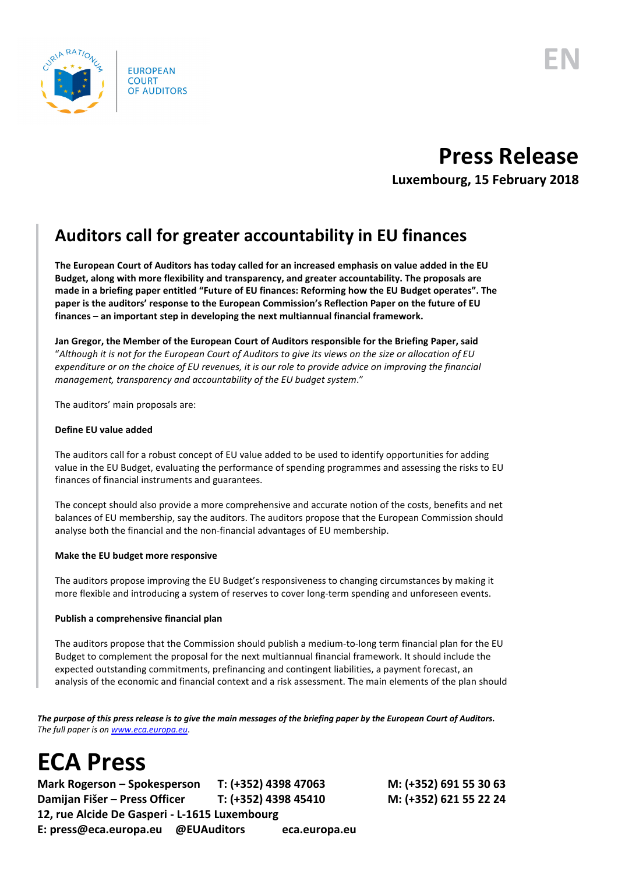

## **Press Release**

**Luxembourg, 15 February 2018**

### **Auditors call for greater accountability in EU finances**

**The European Court of Auditors has today called for an increased emphasis on value added in the EU Budget, along with more flexibility and transparency, and greater accountability. The proposals are made in a briefing paper entitled "Future of EU finances: Reforming how the EU Budget operates". The paper is the auditors' response to the European Commission's Reflection Paper on the future of EU finances – an important step in developing the next multiannual financial framework.** 

**Jan Gregor, the Member of the European Court of Auditors responsible for the Briefing Paper, said** "*Although it is not for the European Court of Auditors to give its views on the size or allocation of EU* 

*expenditure or on the choice of EU revenues, it is our role to provide advice on improving the financial management, transparency and accountability of the EU budget system*."

The auditors' main proposals are:

### **Define EU value added**

The auditors call for a robust concept of EU value added to be used to identify opportunities for adding value in the EU Budget, evaluating the performance of spending programmes and assessing the risks to EU finances of financial instruments and guarantees.

The concept should also provide a more comprehensive and accurate notion of the costs, benefits and net balances of EU membership, say the auditors. The auditors propose that the European Commission should analyse both the financial and the non-financial advantages of EU membership.

### **Make the EU budget more responsive**

The auditors propose improving the EU Budget's responsiveness to changing circumstances by making it more flexible and introducing a system of reserves to cover long-term spending and unforeseen events.

### **Publish a comprehensive financial plan**

The auditors propose that the Commission should publish a medium-to-long term financial plan for the EU Budget to complement the proposal for the next multiannual financial framework. It should include the expected outstanding commitments, prefinancing and contingent liabilities, a payment forecast, an analysis of the economic and financial context and a risk assessment. The main elements of the plan should

*The purpose of this press release is to give the main messages of the briefing paper by the European Court of Auditors. The full paper is o[n www.eca.europa.eu](http://www.eca.europa.eu/)*.

# **ECA Press**

**Mark Rogerson – Spokesperson T: (+352) 4398 47063 M: (+352) 691 55 30 63 Damijan Fišer – Press Officer T: (+352) 4398 45410 M: (+352) 621 55 22 24 12, rue Alcide De Gasperi - L-1615 Luxembourg E: press@eca.europa.eu @EUAuditors eca.europa.eu**